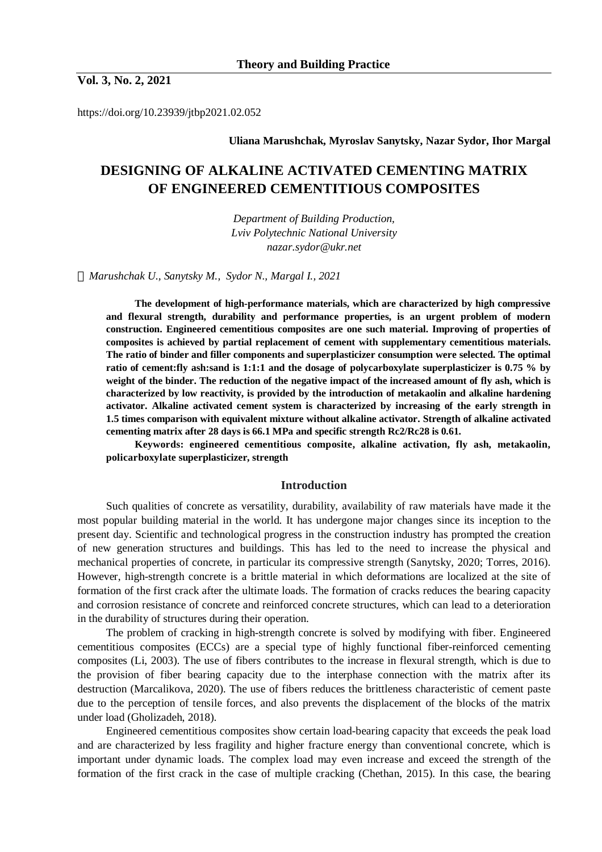**Vol. 3, No. 2, 2021**

https://doi.org/10.23939/jtbp2021.02.052

**Uliana Marushchak, Myroslav Sanytsky, Nazar Sydor, Ihor Margal** 

# **DESIGNING OF ALKALINE ACTIVATED CEMENTING MATRIX OF ENGINEERED CEMENTITIOUS COMPOSITES**

*Department of Building Production, Lviv Polytechnic National University nazar.sydor@ukr.net* 

*Marushchak U., Sanytsky M., Sydor N., Margal I., 2021* 

**The development of high-performance materials, which are characterized by high compressive and flexural strength, durability and performance properties, is an urgent problem of modern construction. Engineered cementitious composites are one such material. Improving of properties of composites is achieved by partial replacement of cement with supplementary cementitious materials. The ratio of binder and filler components and superplasticizer consumption were selected. The optimal ratio of cement:fly ash:sand is 1:1:1 and the dosage of polycarboxylate superplasticizer is 0.75 % by**  weight of the binder. The reduction of the negative impact of the increased amount of fly ash, which is **characterized by low reactivity, is provided by the introduction of metakaolin and alkaline hardening activator. Alkaline activated cement system is characterized by increasing of the early strength in 1.5 times comparison with equivalent mixture without alkaline activator. Strength of alkaline activated cementing matrix after 28 days is 66.1 MPa and specific strength Rc2/Rc28 is 0.61.** 

**Keywords: engineered cementitious composite, alkaline activation, fly ash, metakaolin, policarboxylate superplasticizer, strength** 

## **Introduction**

Such qualities of concrete as versatility, durability, availability of raw materials have made it the most popular building material in the world. It has undergone major changes since its inception to the present day. Scientific and technological progress in the construction industry has prompted the creation of new generation structures and buildings. This has led to the need to increase the physical and mechanical properties of concrete, in particular its compressive strength (Sanytsky, 2020; Torres, 2016). However, high-strength concrete is a brittle material in which deformations are localized at the site of formation of the first crack after the ultimate loads. The formation of cracks reduces the bearing capacity and corrosion resistance of concrete and reinforced concrete structures, which can lead to a deterioration in the durability of structures during their operation.

The problem of cracking in high-strength concrete is solved by modifying with fiber. Engineered cementitious composites (ECCs) are a special type of highly functional fiber-reinforced cementing composites (Li, 2003). The use of fibers contributes to the increase in flexural strength, which is due to the provision of fiber bearing capacity due to the interphase connection with the matrix after its destruction (Marcalikova, 2020). The use of fibers reduces the brittleness characteristic of cement paste due to the perception of tensile forces, and also prevents the displacement of the blocks of the matrix under load (Gholizadeh, 2018).

Engineered cementitious composites show certain load-bearing capacity that exceeds the peak load and are characterized by less fragility and higher fracture energy than conventional concrete, which is important under dynamic loads. The complex load may even increase and exceed the strength of the formation of the first crack in the case of multiple cracking (Chethan, 2015). In this case, the bearing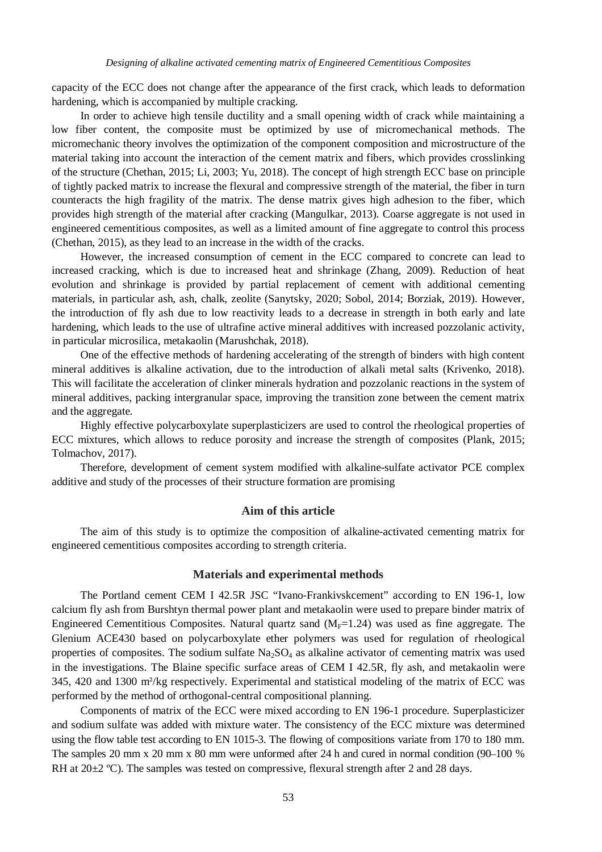capacity of the ECC does not change after the appearance of the first crack, which leads to deformation hardening, which is accompanied by multiple cracking.

In order to achieve high tensile ductility and a small opening width of crack while maintaining a low fiber content, the composite must be optimized by use of micromechanical methods. The micromechanic theory involves the optimization of the component composition and microstructure of the material taking into account the interaction of the cement matrix and fibers, which provides crosslinking of the structure (Chethan, 2015; Li, 2003; Yu, 2018). The concept of high strength EСС base on principle of tightly packed matrix to increase the flexural and compressive strength of the material, the fiber in turn counteracts the high fragility of the matrix. The dense matrix gives high adhesion to the fiber, which provides high strength of the material after cracking (Mangulkar, 2013). Coarse aggregate is not used in engineered cementitious composites, as well as a limited amount of fine aggregate to control this process (Chethan, 2015), as they lead to an increase in the width of the cracks.

However, the increased consumption of cement in the ECC compared to concrete can lead to increased cracking, which is due to increased heat and shrinkage (Zhang, 2009). Reduction of heat evolution and shrinkage is provided by partial replacement of cement with additional cementing materials, in particular ash, ash, chalk, zeolite (Sanytsky, 2020; Sobol, 2014; Borziak, 2019). However, the introduction of fly ash due to low reactivity leads to a decrease in strength in both early and late hardening, which leads to the use of ultrafine active mineral additives with increased pozzolanic activity, in particular microsilica, metakaolin (Marushchak, 2018).

One of the effective methods of hardening accelerating of the strength of binders with high content mineral additives is alkaline activation, due to the introduction of alkali metal salts (Krivenko, 2018). This will facilitate the acceleration of clinker minerals hydration and pozzolanic reactions in the system of mineral additives, packing intergranular space, improving the transition zone between the cement matrix and the aggregate.

Highly effective polycarboxylate superplasticizers are used to control the rheological properties of ECC mixtures, which allows to reduce porosity and increase the strength of composites (Plank, 2015; Tolmachov, 2017).

Therefore, development of сement system modified with alkaline-sulfate activator PCE complex additive and study of the processes of their structure formation are promising

# **Aim of this article**

The aim of this study is to optimize the composition of alkaline-activated cementing matrix for engineered cementitious composites according to strength criteria.

## **Materials and experimental methods**

The Portland cement CEM І 42.5R JSC "Ivano-Frankivskcement" according to EN 196-1, low calcium fly ash from Burshtyn thermal power plant and metakaolin were used to prepare binder matrix of Engineered Cementitious Composites. Natural quartz sand  $(M_F=1.24)$  was used as fine aggregate. The Glenium ACE430 based on polycarboxylate ether polymers was used for regulation of rheological properties of composites. The sodium sulfate  $Na<sub>2</sub>SO<sub>4</sub>$  as alkaline activator of cementing matrix was used in the investigations. The Blaine specific surface areas of CEM І 42.5R, fly ash, and metakaolin were 345, 420 and 1300 m²/kg respectively. Experimental and statistical modeling of the matrix of ECC was performed by the method of orthogonal-central compositional planning.

Components of matrix of the ECC were mixed according to EN 196-1 procedure. Superplasticizer and sodium sulfate was added with mixture water. The consistency of the ECC mixture was determined using the flow table test according to EN 1015-3. The flowing of compositions variate from 170 to 180 mm. The samples 20 mm x 20 mm x 80 mm were unformed after 24 h and cured in normal condition (90–100 % RH at 20 $\pm$ 2 °C). The samples was tested on compressive, flexural strength after 2 and 28 days.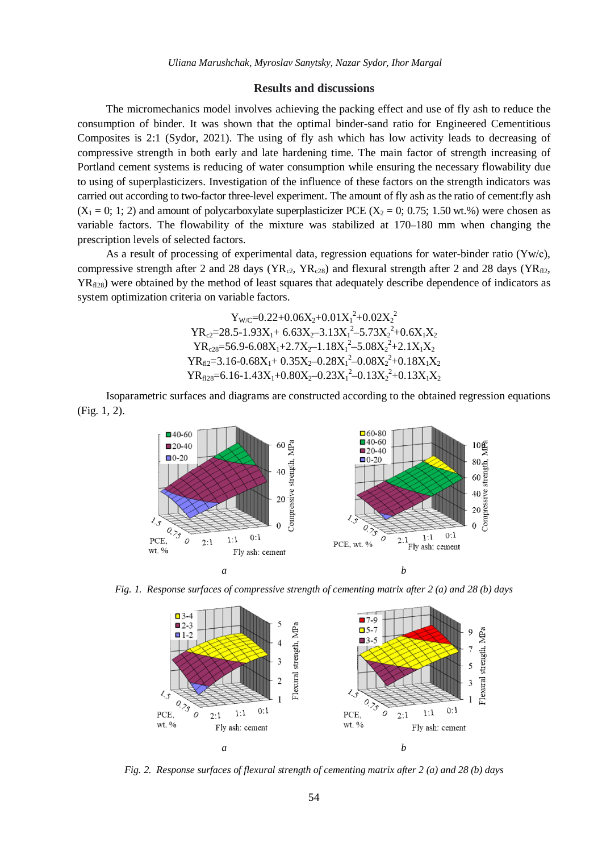### **Results and discussions**

The micromechanics model involves achieving the packing effect and use of fly ash to reduce the consumption of binder. It was shown that the optimal binder-sand ratio for Engineered Cementitious Composites is 2:1 (Sydor, 2021). The using of fly ash which has low activity leads to decreasing of compressive strength in both early and late hardening time. The main factor of strength increasing of Portland cement systems is reducing of water consumption while ensuring the necessary flowability due to using of superplasticizers. Investigation of the influence of these factors on the strength indicators was carried out according to two-factor three-level experiment. The amount of fly ash as the ratio of cement:fly ash  $(X_1 = 0; 1; 2)$  and amount of polycarboxylate superplasticizer PCE  $(X_2 = 0; 0.75; 1.50 \text{ wt.}\%)$  were chosen as variable factors. The flowability of the mixture was stabilized at 170–180 mm when changing the prescription levels of selected factors.

As a result of processing of experimental data, regression equations for water-binder ratio ( $\gamma w/c$ ), compressive strength after 2 and 28 days ( $YR_{c2}$ ,  $YR_{c28}$ ) and flexural strength after 2 and 28 days ( $YR_{fl2}$ ,  $YR_{\eta_{28}}$ ) were obtained by the method of least squares that adequately describe dependence of indicators as system optimization criteria on variable factors.

$$
Y_{W/C}=0.22+0.06X_2+0.01X_1^2+0.02X_2^2
$$
\n
$$
YR_{c2}=28.5-1.93X_1+6.63X_2-3.13X_1^2-5.73X_2^2+0.6X_1X_2
$$
\n
$$
YR_{c28}=56.9-6.08X_1+2.7X_2-1.18X_1^2-5.08X_2^2+2.1X_1X_2
$$
\n
$$
YR_{f12}=3.16-0.68X_1+0.35X_2-0.28X_1^2-0.08X_2^2+0.18X_1X_2
$$
\n
$$
YR_{f128}=6.16-1.43X_1+0.80X_2-0.23X_1^2-0.13X_2^2+0.13X_1X_2
$$

Isoparametric surfaces and diagrams are constructed according to the obtained regression equations (Fig. 1, 2).



*Fig. 1. Response surfaces of compressive strength of cementing matrix after 2 (a) and 28 (b) days*



*Fig. 2. Response surfaces of flexural strength of cementing matrix after 2 (a) and 28 (b) days*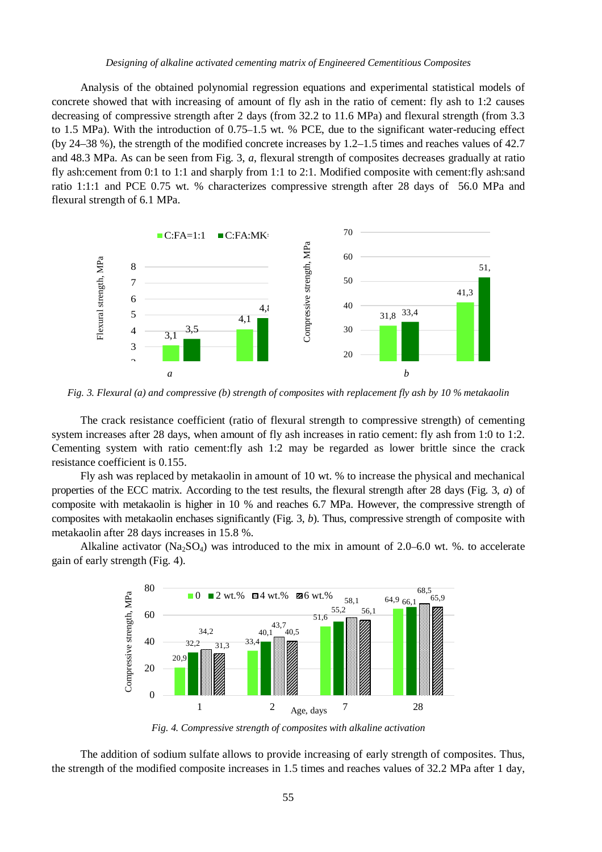#### *Designing of alkaline activated cementing matrix of Engineered Cementitious Composites*

Analysis of the obtained polynomial regression equations and experimental statistical models of concrete showed that with increasing of amount of fly ash in the ratio of cement: fly ash to 1:2 causes decreasing of compressive strength after 2 days (from 32.2 to 11.6 MPa) and flexural strength (from 3.3 to 1.5 MPa). With the introduction of 0.75–1.5 wt. % PCE, due to the significant water-reducing effect (by 24–38 %), the strength of the modified concrete increases by 1.2–1.5 times and reaches values of 42.7 and 48.3 MPa. As can be seen from Fig. 3, *a*, flexural strength of composites decreases gradually at ratio fly ash:cement from 0:1 to 1:1 and sharply from 1:1 to 2:1. Modified composite with cement:fly ash:sand ratio 1:1:1 and PCE 0.75 wt. % characterizes compressive strength after 28 days of 56.0 MPa and flexural strength of 6.1 MPa.



Fig. 3. Flexural (a) and compressive (b) strength of composites with replacement fly ash by 10 % metakaolin

The crack resistance coefficient (ratio of flexural strength to compressive strength) of cementing system increases after 28 days, when amount of fly ash increases in ratio cement: fly ash from 1:0 to 1:2. Сementing system with ratio cement:fly ash 1:2 may be regarded as lower brittle since the crack resistance coefficient is 0.155.

Fly ash was replaced by metakaolin in amount of 10 wt. % to increase the physical and mechanical properties of the ECC matrix. According to the test results, the flexural strength after 28 days (Fig. 3, *a*) of composite with metakaolin is higher in 10 % and reaches 6.7 MPa. However, the compressive strength of composites with metakaolin enchases significantly (Fig. 3, *b*). Thus, compressive strength of composite with metakaolin after 28 days increases in 15.8 %.

Alkaline activator ( $Na_2SO_4$ ) was introduced to the mix in amount of 2.0–6.0 wt. %, to accelerate gain of early strength (Fig. 4).



*Fig. 4. Compressive strength of composites with alkaline activation* 

The addition of sodium sulfate allows to provide increasing of early strength of composites. Thus, the strength of the modified composite increases in 1.5 times and reaches values of 32.2 MPa after 1 day,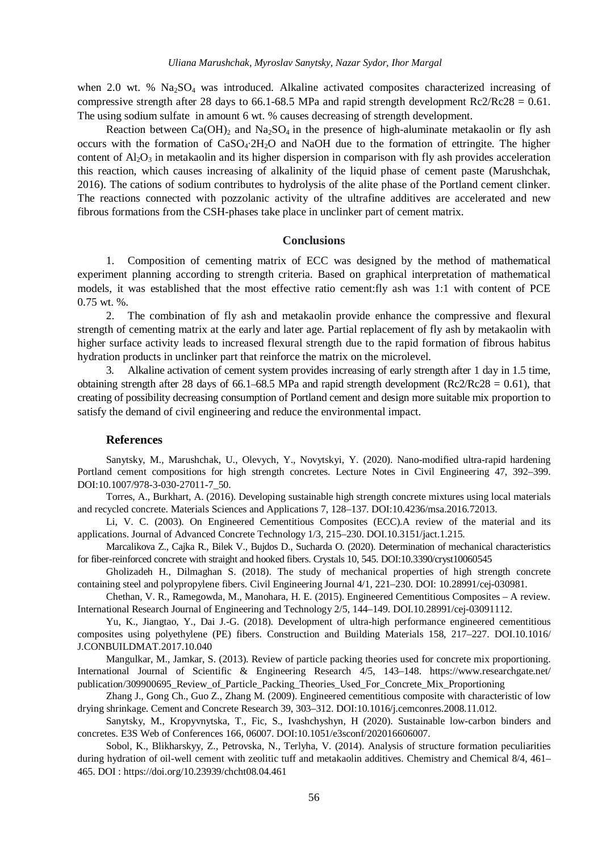when 2.0 wt. %  $Na<sub>2</sub>SO<sub>4</sub>$  was introduced. Alkaline activated composites characterized increasing of compressive strength after 28 days to 66.1-68.5 MPa and rapid strength development  $Rc2/Rc28 = 0.61$ . The using sodium sulfate in amount 6 wt. % causes decreasing of strength development.

Reaction between Ca(OH)<sub>2</sub> and Na<sub>2</sub>SO<sub>4</sub> in the presence of high-aluminate metakaolin or fly ash occurs with the formation of CaSO4∙2H2O and NaOH due to the formation of ettringite. The higher content of  $A<sub>2</sub>O<sub>3</sub>$  in metakaolin and its higher dispersion in comparison with fly ash provides acceleration this reaction, which causes increasing of alkalinity of the liquid phase of cement paste (Marushchak, 2016). The cations of sodium contributes to hydrolysis of the alite phase of the Portland cement clinker. The reactions connected with pozzolanic activity of the ultrafine additives are accelerated and new fibrous formations from the CSH-phases take place in unclinker part of cement matrix.

## **Conclusions**

1. Composition of cementing matrix of ECC was designed by the method of mathematical experiment planning according to strength criteria. Based on graphical interpretation of mathematical models, it was established that the most effective ratio cement:fly ash was 1:1 with content of PCE 0.75 wt. %.

2. The combination of fly ash and metakaolin provide enhance the compressive and flexural strength of cementing matrix at the early and later age. Partial replacement of fly ash by metakaolin with higher surface activity leads to increased flexural strength due to the rapid formation of fibrous habitus hydration products in unclinker part that reinforce the matrix on the microlevel.

3. Alkaline activation of cement system provides increasing of early strength after 1 day in 1.5 time, obtaining strength after 28 days of 66.1–68.5 MPa and rapid strength development (Rc2/Rc28 = 0.61), that creating of possibility decreasing consumption of Portland cement and design more suitable mix proportion to satisfy the demand of civil engineering and reduce the environmental impact.

#### **References**

Sanytsky, M., Marushchak, U., Olevych, Y., Novytskyi, Y. (2020). Nano-modified ultra-rapid hardening Portland cement compositions for high strength concretes. Lecture Notes in Civil Engineering 47, 392–399. DOI:10.1007/978-3-030-27011-7\_50.

Torres, A., Burkhart, A. (2016). Developing sustainable high strength concrete mixtures using local materials and recycled concrete. Materials Sciences and Applications 7, 128–137. DOI:10.4236/msa.2016.72013.

Li, V. C. (2003). On Engineered Cementitious Composites (ECC). A review of the material and its applications. Journal of Advanced Concrete Technology 1/3, 215–230. DOI.10.3151/jact.1.215.

Marcalikova Z., Cajka R., Bilek V., Bujdos D., Sucharda O. (2020). Determination of mechanical characteristics for fiber-reinforced concrete with straight and hooked fibers. Crystals 10, 545. DOI:10.3390/cryst10060545

Gholizadeh H., Dilmaghan S. (2018). The study of mechanical properties of high strength concrete containing steel and polypropylene fibers. Civil Engineering Journal 4/1, 221–230. DOI: 10.28991/cej-030981.

Chethan, V. R., Ramegowda, M., Manohara, H. E. (2015). Engineered Cementitious Composites – A review. International Research Journal of Engineering and Technology 2/5, 144–149. DOI.10.28991/cej-03091112.

Yu, K., Jiangtao, Y., Dai J.-G. (2018). Development of ultra-high performance engineered cementitious composites using polyethylene (PE) fibers. Construction and Building Materials 158, 217–227. DOI.10.1016/ J.CONBUILDMAT.2017.10.040

Mangulkar, M., Jamkar, S. (2013). Review of particle packing theories used for concrete mix proportioning. International Journal of Scientific & Engineering Research 4/5, 143–148. https://www.researchgate.net/ publication/309900695\_Review\_of\_Particle\_Packing\_Theories\_Used\_For\_Concrete\_Mix\_Proportioning

Zhang J., Gong Ch., Guo Z., Zhang M. (2009). Engineered cementitious composite with characteristic of low drying shrinkage. Cement and Concrete Research 39, 303–312. DOI:10.1016/j.cemconres.2008.11.012.

Sanytsky, M., Kropyvnytska, T., Fic, S., Ivashchyshyn, H (2020). Sustainable low-carbon binders and concretes. E3S Web of Conferences 166, 06007. DOI:10.1051/e3sconf/202016606007.

Sobol, K., Blikharskyy, Z., Petrovska, N., Terlyha, V. (2014). Analysis of structure formation peculiarities during hydration of oil-well cement with zeolitic tuff and metakaolin additives. Chemistry and Chemical 8/4, 461– 465. DOI : https://doi.org/10.23939/chcht08.04.461